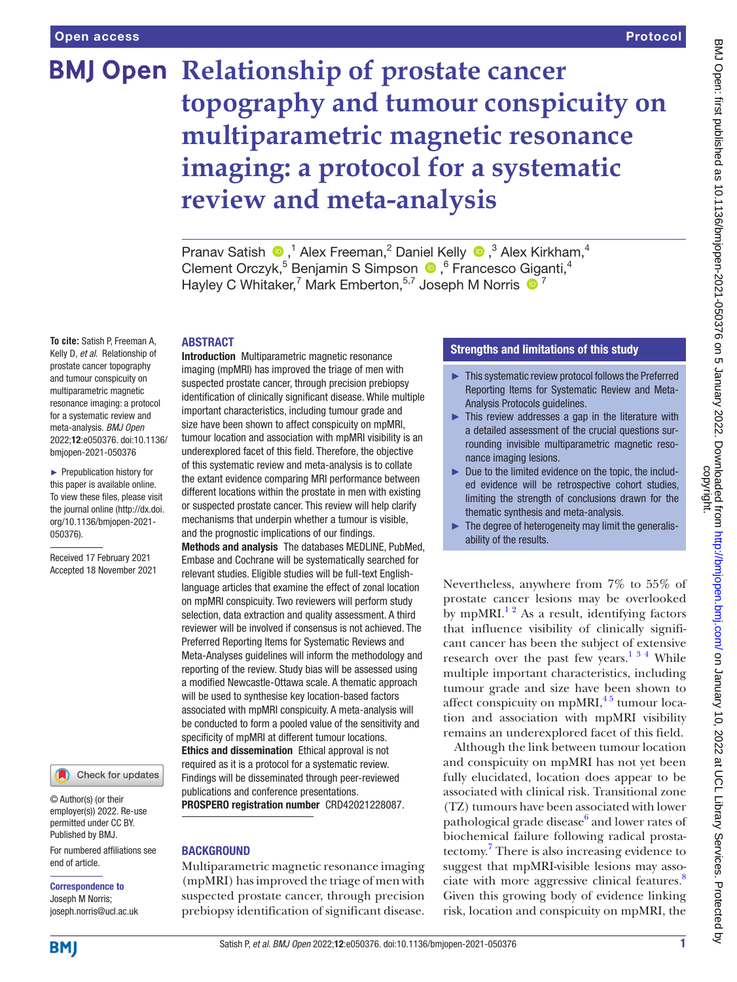# **BMJ Open Relationship of prostate cancer topography and tumour conspicuity on multiparametric magnetic resonance imaging: a protocol for a systematic review and meta-analysis**

PranavSatish  $\bigcirc$ ,<sup>1</sup> Alex Freeman,<sup>2</sup> Daniel Kelly  $\bigcirc$ ,<sup>3</sup> Alex Kirkham,<sup>4</sup> ClementOrczyk,<sup>5</sup> Benjamin S Simpson (D, <sup>6</sup> Francesco Giganti,<sup>4</sup> Hayley C Whitaker,<sup>7</sup> Mark Emberton,<sup>5,7</sup> Joseph M Norris <sup>1</sup>

#### ABSTRACT

**To cite:** Satish P, Freeman A, Kelly D, *et al*. Relationship of prostate cancer topography and tumour conspicuity on multiparametric magnetic resonance imaging: a protocol for a systematic review and meta-analysis. *BMJ Open* 2022;12:e050376. doi:10.1136/ bmjopen-2021-050376

► Prepublication history for this paper is available online. To view these files, please visit the journal online [\(http://dx.doi.](http://dx.doi.org/10.1136/bmjopen-2021-050376) [org/10.1136/bmjopen-2021-](http://dx.doi.org/10.1136/bmjopen-2021-050376) [050376\)](http://dx.doi.org/10.1136/bmjopen-2021-050376).

Received 17 February 2021 Accepted 18 November 2021

Check for updates

© Author(s) (or their employer(s)) 2022. Re-use permitted under CC BY. Published by BMJ.

For numbered affiliations see end of article.

# Correspondence to

Joseph M Norris; joseph.norris@ucl.ac.uk Introduction Multiparametric magnetic resonance imaging (mpMRI) has improved the triage of men with suspected prostate cancer, through precision prebiopsy identification of clinically significant disease. While multiple important characteristics, including tumour grade and size have been shown to affect conspicuity on mpMRI, tumour location and association with mpMRI visibility is an underexplored facet of this field. Therefore, the objective of this systematic review and meta-analysis is to collate the extant evidence comparing MRI performance between different locations within the prostate in men with existing or suspected prostate cancer. This review will help clarify mechanisms that underpin whether a tumour is visible, and the prognostic implications of our findings.

Methods and analysis The databases MEDLINE, PubMed, Embase and Cochrane will be systematically searched for relevant studies. Eligible studies will be full-text Englishlanguage articles that examine the effect of zonal location on mpMRI conspicuity. Two reviewers will perform study selection, data extraction and quality assessment. A third reviewer will be involved if consensus is not achieved. The Preferred Reporting Items for Systematic Reviews and Meta-Analyses guidelines will inform the methodology and reporting of the review. Study bias will be assessed using a modified Newcastle-Ottawa scale. A thematic approach will be used to synthesise key location-based factors associated with mpMRI conspicuity. A meta-analysis will be conducted to form a pooled value of the sensitivity and specificity of mpMRI at different tumour locations. Ethics and dissemination Ethical approval is not required as it is a protocol for a systematic review. Findings will be disseminated through peer-reviewed publications and conference presentations.

PROSPERO registration number CRD42021228087.

# **BACKGROUND**

Multiparametric magnetic resonance imaging (mpMRI) has improved the triage of men with suspected prostate cancer, through precision prebiopsy identification of significant disease.

# Strengths and limitations of this study

- ► This systematic review protocol follows the Preferred Reporting Items for Systematic Review and Meta-Analysis Protocols guidelines.
- ► This review addresses a gap in the literature with a detailed assessment of the crucial questions surrounding invisible multiparametric magnetic resonance imaging lesions.
- ► Due to the limited evidence on the topic, the included evidence will be retrospective cohort studies, limiting the strength of conclusions drawn for the thematic synthesis and meta-analysis.
- ► The degree of heterogeneity may limit the generalisability of the results.

Nevertheless, anywhere from 7% to 55% of prostate cancer lesions may be overlooked by mpMRI.<sup>12</sup> As a result, identifying factors that influence visibility of clinically significant cancer has been the subject of extensive research over the past few years.<sup>134</sup> While multiple important characteristics, including tumour grade and size have been shown to affect conspicuity on mpMRI $,45$  tumour location and association with mpMRI visibility remains an underexplored facet of this field.

Although the link between tumour location and conspicuity on mpMRI has not yet been fully elucidated, location does appear to be associated with clinical risk. Transitional zone (TZ) tumours have been associated with lower pathological grade disease<sup>6</sup> and lower rates of biochemical failure following radical prostatectomy.[7](#page-4-2) There is also increasing evidence to suggest that mpMRI-visible lesions may associate with more aggressive clinical features.<sup>8</sup> Given this growing body of evidence linking risk, location and conspicuity on mpMRI, the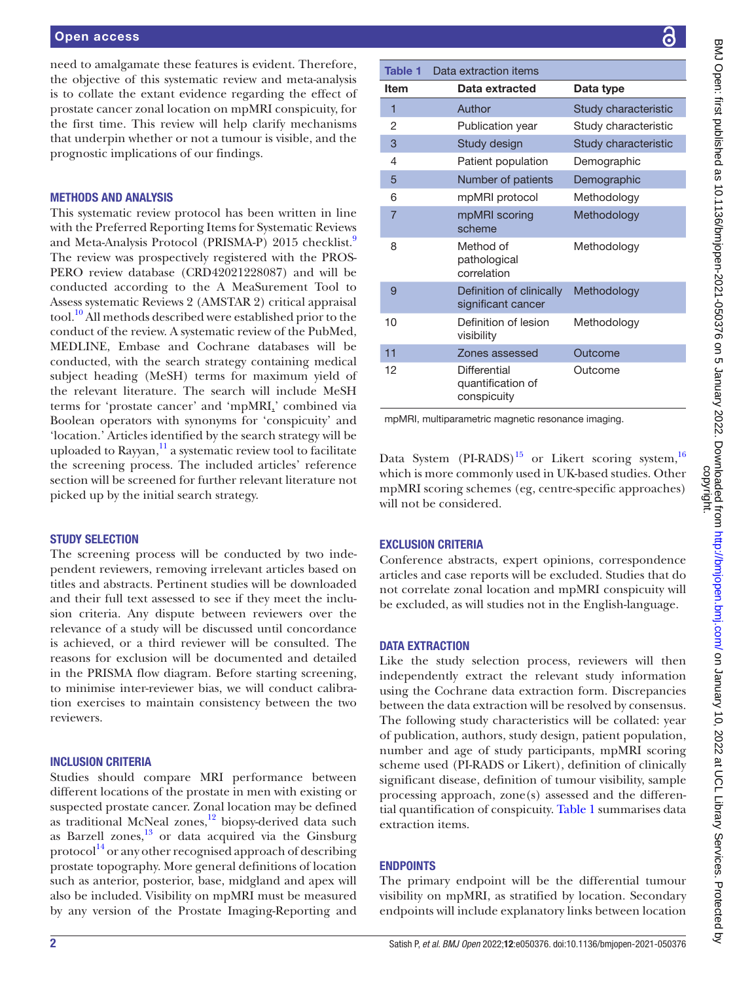need to amalgamate these features is evident. Therefore, the objective of this systematic review and meta-analysis is to collate the extant evidence regarding the effect of prostate cancer zonal location on mpMRI conspicuity, for the first time. This review will help clarify mechanisms that underpin whether or not a tumour is visible, and the prognostic implications of our findings.

### METHODS AND ANALYSIS

This systematic review protocol has been written in line with the Preferred Reporting Items for Systematic Reviews and Meta-Analysis Protocol (PRISMA-P) 2015 checklist.<sup>[9](#page-4-4)</sup> The review was prospectively registered with the PROS-PERO review database (CRD42021228087) and will be conducted according to the A MeaSurement Tool to Assess systematic Reviews 2 (AMSTAR 2) critical appraisal tool.[10](#page-4-5) All methods described were established prior to the conduct of the review. A systematic review of the PubMed, MEDLINE, Embase and Cochrane databases will be conducted, with the search strategy containing medical subject heading (MeSH) terms for maximum yield of the relevant literature. The search will include MeSH terms for 'prostate cancer' and 'mpMRI,' combined via Boolean operators with synonyms for 'conspicuity' and 'location.' Articles identified by the search strategy will be uploaded to Rayyan, $\frac{11}{1}$  $\frac{11}{1}$  $\frac{11}{1}$  a systematic review tool to facilitate the screening process. The included articles' reference section will be screened for further relevant literature not picked up by the initial search strategy.

#### STUDY SELECTION

The screening process will be conducted by two independent reviewers, removing irrelevant articles based on titles and abstracts. Pertinent studies will be downloaded and their full text assessed to see if they meet the inclusion criteria. Any dispute between reviewers over the relevance of a study will be discussed until concordance is achieved, or a third reviewer will be consulted. The reasons for exclusion will be documented and detailed in the PRISMA flow diagram. Before starting screening, to minimise inter-reviewer bias, we will conduct calibration exercises to maintain consistency between the two reviewers.

## INCLUSION CRITERIA

Studies should compare MRI performance between different locations of the prostate in men with existing or suspected prostate cancer. Zonal location may be defined as traditional McNeal zones,<sup>12</sup> biopsy-derived data such as Barzell zones, $^{13}$  $^{13}$  $^{13}$  or data acquired via the Ginsburg protocol $^{14}$  or any other recognised approach of describing prostate topography. More general definitions of location such as anterior, posterior, base, midgland and apex will also be included. Visibility on mpMRI must be measured by any version of the Prostate Imaging-Reporting and

<span id="page-1-0"></span>

| <b>Table 1</b>                                     | Data extraction items                            |                      |
|----------------------------------------------------|--------------------------------------------------|----------------------|
| Item                                               | Data extracted                                   | Data type            |
| 1                                                  | Author                                           | Study characteristic |
| 2                                                  | Publication year                                 | Study characteristic |
| 3                                                  | Study design                                     | Study characteristic |
| 4                                                  | Patient population                               | Demographic          |
| 5                                                  | Number of patients                               | Demographic          |
| 6                                                  | mpMRI protocol                                   | Methodology          |
| $\overline{7}$                                     | mpMRI scoring<br>scheme                          | Methodology          |
| 8                                                  | Method of<br>pathological<br>correlation         | Methodology          |
| 9                                                  | Definition of clinically<br>significant cancer   | Methodology          |
| 10                                                 | Definition of lesion<br>visibility               | Methodology          |
| 11                                                 | Zones assessed                                   | Outcome              |
| 12                                                 | Differential<br>quantification of<br>conspicuity | Outcome              |
| mpMRI, multiparametric magnetic resonance imaging. |                                                  |                      |

Data System  $(PI-RADS)^{15}$  or Likert scoring system,<sup>[16](#page-4-11)</sup> which is more commonly used in UK-based studies. Other mpMRI scoring schemes (eg, centre-specific approaches) will not be considered.

# EXCLUSION CRITERIA

Conference abstracts, expert opinions, correspondence articles and case reports will be excluded. Studies that do not correlate zonal location and mpMRI conspicuity will be excluded, as will studies not in the English-language.

# DATA EXTRACTION

Like the study selection process, reviewers will then independently extract the relevant study information using the Cochrane data extraction form. Discrepancies between the data extraction will be resolved by consensus. The following study characteristics will be collated: year of publication, authors, study design, patient population, number and age of study participants, mpMRI scoring scheme used (PI-RADS or Likert), definition of clinically significant disease, definition of tumour visibility, sample processing approach, zone(s) assessed and the differential quantification of conspicuity. [Table](#page-1-0) 1 summarises data extraction items.

# **ENDPOINTS**

The primary endpoint will be the differential tumour visibility on mpMRI, as stratified by location. Secondary endpoints will include explanatory links between location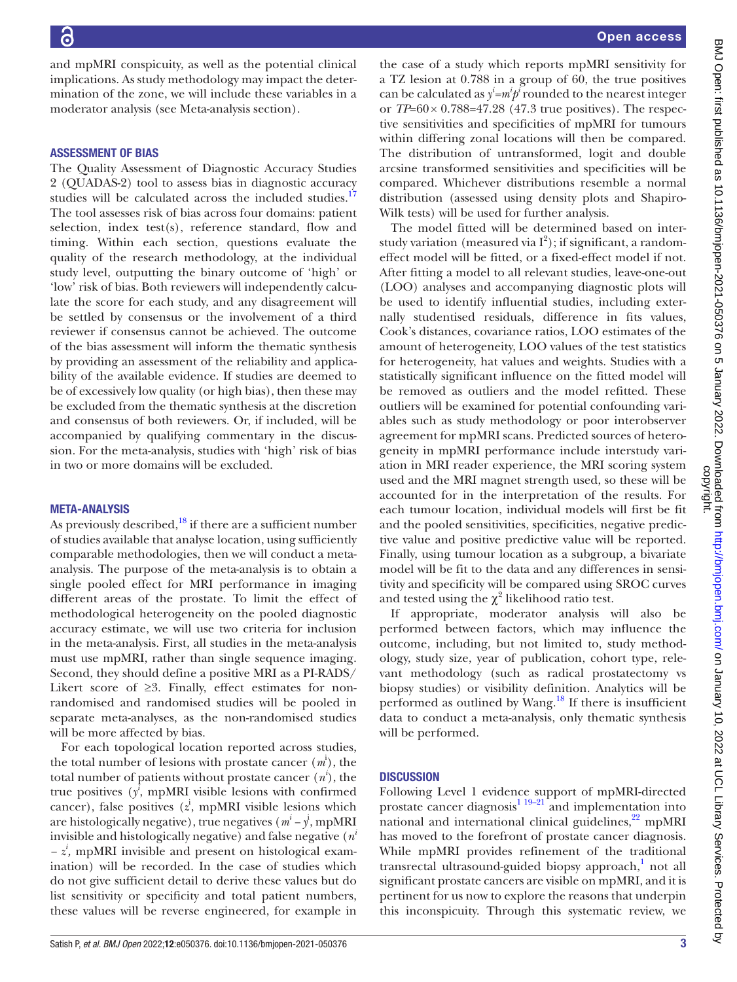and mpMRI conspicuity, as well as the potential clinical implications. As study methodology may impact the determination of the zone, we will include these variables in a moderator analysis (see Meta-analysis section).

#### ASSESSMENT OF BIAS

The Quality Assessment of Diagnostic Accuracy Studies 2 (QUADAS-2) tool to assess bias in diagnostic accuracy studies will be calculated across the included studies.<sup>[17](#page-4-12)</sup> The tool assesses risk of bias across four domains: patient selection, index test(s), reference standard, flow and timing. Within each section, questions evaluate the quality of the research methodology, at the individual study level, outputting the binary outcome of 'high' or 'low' risk of bias. Both reviewers will independently calculate the score for each study, and any disagreement will be settled by consensus or the involvement of a third reviewer if consensus cannot be achieved. The outcome of the bias assessment will inform the thematic synthesis by providing an assessment of the reliability and applicability of the available evidence. If studies are deemed to be of excessively low quality (or high bias), then these may be excluded from the thematic synthesis at the discretion and consensus of both reviewers. Or, if included, will be accompanied by qualifying commentary in the discussion. For the meta-analysis, studies with 'high' risk of bias in two or more domains will be excluded.

#### META-ANALYSIS

As previously described, $^{18}$  if there are a sufficient number of studies available that analyse location, using sufficiently comparable methodologies, then we will conduct a metaanalysis. The purpose of the meta-analysis is to obtain a single pooled effect for MRI performance in imaging different areas of the prostate. To limit the effect of methodological heterogeneity on the pooled diagnostic accuracy estimate, we will use two criteria for inclusion in the meta-analysis. First, all studies in the meta-analysis must use mpMRI, rather than single sequence imaging. Second, they should define a positive MRI as a PI-RADS/ Likert score of ≥3. Finally, effect estimates for nonrandomised and randomised studies will be pooled in separate meta-analyses, as the non-randomised studies will be more affected by bias.

For each topological location reported across studies, the total number of lesions with prostate cancer (*m*<sup>i</sup> ), the total number of patients without prostate cancer  $(n^i)$ , the true positives  $(y^i)$ , mpMRI visible lesions with confirmed cancer), false positives  $(z^i)$ , mpMRI visible lesions which are histologically negative), true negatives  $(m^{i} - y^{i})$ , mpMRI invisible and histologically negative) and false negative (*n<sup>i</sup> − z<sup>i</sup> ,* mpMRI invisible and present on histological examination) will be recorded. In the case of studies which do not give sufficient detail to derive these values but do list sensitivity or specificity and total patient numbers, these values will be reverse engineered, for example in

the case of a study which reports mpMRI sensitivity for a TZ lesion at 0.788 in a group of 60, the true positives can be calculated as  $y^i = m^i p^i$  rounded to the nearest integer or *TP*=60× 0.788=47.28 (47.3 true positives). The respective sensitivities and specificities of mpMRI for tumours within differing zonal locations will then be compared. The distribution of untransformed, logit and double arcsine transformed sensitivities and specificities will be compared. Whichever distributions resemble a normal distribution (assessed using density plots and Shapiro-Wilk tests) will be used for further analysis.

The model fitted will be determined based on interstudy variation (measured via  $I^2$ ); if significant, a randomeffect model will be fitted, or a fixed-effect model if not. After fitting a model to all relevant studies, leave-one-out (LOO) analyses and accompanying diagnostic plots will be used to identify influential studies, including externally studentised residuals, difference in fits values, Cook's distances, covariance ratios, LOO estimates of the amount of heterogeneity, LOO values of the test statistics for heterogeneity, hat values and weights. Studies with a statistically significant influence on the fitted model will be removed as outliers and the model refitted. These outliers will be examined for potential confounding variables such as study methodology or poor interobserver agreement for mpMRI scans. Predicted sources of heterogeneity in mpMRI performance include interstudy variation in MRI reader experience, the MRI scoring system used and the MRI magnet strength used, so these will be accounted for in the interpretation of the results. For each tumour location, individual models will first be fit and the pooled sensitivities, specificities, negative predictive value and positive predictive value will be reported. Finally, using tumour location as a subgroup, a bivariate model will be fit to the data and any differences in sensitivity and specificity will be compared using SROC curves and tested using the  $\chi^2$  likelihood ratio test.

If appropriate, moderator analysis will also be performed between factors, which may influence the outcome, including, but not limited to, study methodology, study size, year of publication, cohort type, relevant methodology (such as radical prostatectomy vs biopsy studies) or visibility definition. Analytics will be performed as outlined by Wang. $^{18}$  $^{18}$  $^{18}$  If there is insufficient data to conduct a meta-analysis, only thematic synthesis will be performed.

#### **DISCUSSION**

Following Level 1 evidence support of mpMRI-directed prostate cancer diagnosis $119-21$  and implementation into national and international clinical guidelines,<sup>[22](#page-4-14)</sup> mpMRI has moved to the forefront of prostate cancer diagnosis. While mpMRI provides refinement of the traditional transrectal ultrasound-guided biopsy approach,<sup>[1](#page-3-0)</sup> not all significant prostate cancers are visible on mpMRI, and it is pertinent for us now to explore the reasons that underpin this inconspicuity. Through this systematic review, we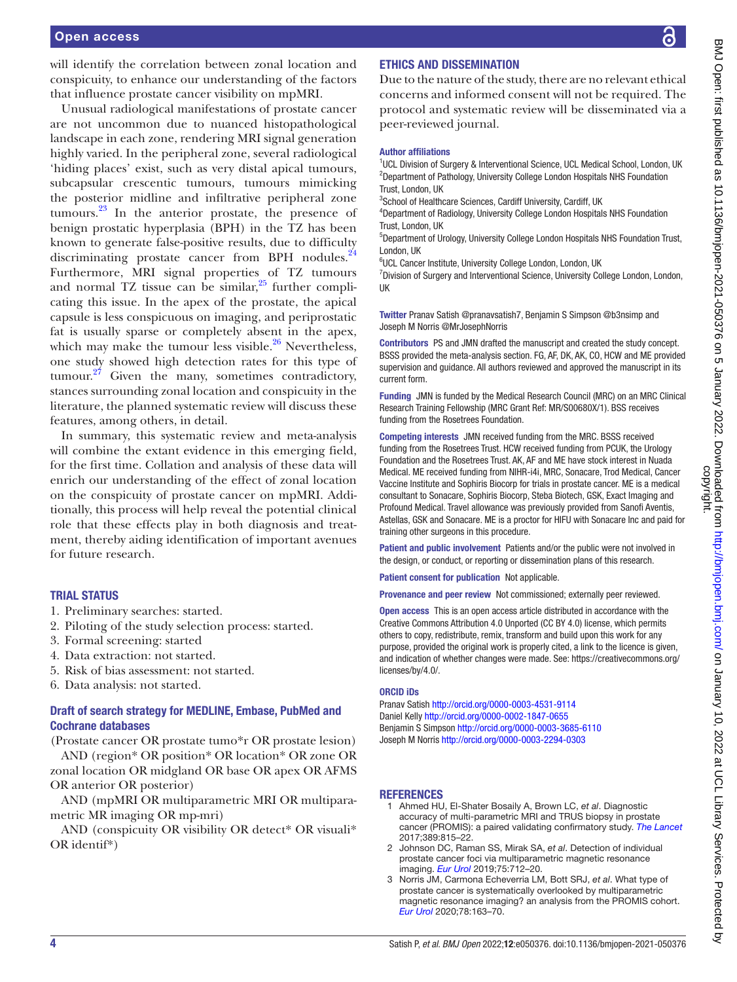will identify the correlation between zonal location and conspicuity, to enhance our understanding of the factors that influence prostate cancer visibility on mpMRI.

Unusual radiological manifestations of prostate cancer are not uncommon due to nuanced histopathological landscape in each zone, rendering MRI signal generation highly varied. In the peripheral zone, several radiological 'hiding places' exist, such as very distal apical tumours, subcapsular crescentic tumours, tumours mimicking the posterior midline and infiltrative peripheral zone tumours. $^{23}$  In the anterior prostate, the presence of benign prostatic hyperplasia (BPH) in the TZ has been known to generate false-positive results, due to difficulty discriminating prostate cancer from BPH nodules. $^{24}$ Furthermore, MRI signal properties of TZ tumours and normal TZ tissue can be similar, $25$  further complicating this issue. In the apex of the prostate, the apical capsule is less conspicuous on imaging, and periprostatic fat is usually sparse or completely absent in the apex, which may make the tumour less visible. $26$  Nevertheless, one study showed high detection rates for this type of tumour. $27$  Given the many, sometimes contradictory, stances surrounding zonal location and conspicuity in the literature, the planned systematic review will discuss these features, among others, in detail.

In summary, this systematic review and meta-analysis will combine the extant evidence in this emerging field, for the first time. Collation and analysis of these data will enrich our understanding of the effect of zonal location on the conspicuity of prostate cancer on mpMRI. Additionally, this process will help reveal the potential clinical role that these effects play in both diagnosis and treatment, thereby aiding identification of important avenues for future research.

# TRIAL STATUS

- 1. Preliminary searches: started.
- 2. Piloting of the study selection process: started.
- 3. Formal screening: started
- 4. Data extraction: not started.
- 5. Risk of bias assessment: not started.
- 6. Data analysis: not started.

# Draft of search strategy for MEDLINE, Embase, PubMed and Cochrane databases

(Prostate cancer OR prostate tumo\*r OR prostate lesion) AND (region\* OR position\* OR location\* OR zone OR zonal location OR midgland OR base OR apex OR AFMS OR anterior OR posterior)

AND (mpMRI OR multiparametric MRI OR multiparametric MR imaging OR mp-mri)

AND (conspicuity OR visibility OR detect\* OR visuali\* OR identif\*)

# ETHICS AND DISSEMINATION

Due to the nature of the study, there are no relevant ethical concerns and informed consent will not be required. The protocol and systematic review will be disseminated via a peer-reviewed journal.

#### Author affiliations

<sup>1</sup>UCL Division of Surgery & Interventional Science, UCL Medical School, London, UK 2 Department of Pathology, University College London Hospitals NHS Foundation Trust, London, UK

<sup>3</sup>School of Healthcare Sciences, Cardiff University, Cardiff, UK

4 Department of Radiology, University College London Hospitals NHS Foundation Trust, London, UK <sup>5</sup>Department of Urology, University College London Hospitals NHS Foundation Trust,

London, UK

6 UCL Cancer Institute, University College London, London, UK

<sup>7</sup> Division of Surgery and Interventional Science, University College London, London, UK

Twitter Pranav Satish [@pranavsatish7](https://twitter.com/pranavsatish7), Benjamin S Simpson [@b3nsimp](https://twitter.com/b3nsimp) and Joseph M Norris [@MrJosephNorris](https://twitter.com/MrJosephNorris)

Contributors PS and JMN drafted the manuscript and created the study concept. BSSS provided the meta-analysis section. FG, AF, DK, AK, CO, HCW and ME provided supervision and guidance. All authors reviewed and approved the manuscript in its current form.

Funding JMN is funded by the Medical Research Council (MRC) on an MRC Clinical Research Training Fellowship (MRC Grant Ref: MR/S00680X/1). BSS receives funding from the Rosetrees Foundation.

Competing interests JMN received funding from the MRC. BSSS received funding from the Rosetrees Trust. HCW received funding from PCUK, the Urology Foundation and the Rosetrees Trust. AK, AF and ME have stock interest in Nuada Medical. ME received funding from NIHR-i4i, MRC, Sonacare, Trod Medical, Cancer Vaccine Institute and Sophiris Biocorp for trials in prostate cancer. ME is a medical consultant to Sonacare, Sophiris Biocorp, Steba Biotech, GSK, Exact Imaging and Profound Medical. Travel allowance was previously provided from Sanofi Aventis, Astellas, GSK and Sonacare. ME is a proctor for HIFU with Sonacare Inc and paid for training other surgeons in this procedure.

Patient and public involvement Patients and/or the public were not involved in the design, or conduct, or reporting or dissemination plans of this research.

Patient consent for publication Not applicable.

Provenance and peer review Not commissioned; externally peer reviewed.

Open access This is an open access article distributed in accordance with the Creative Commons Attribution 4.0 Unported (CC BY 4.0) license, which permits others to copy, redistribute, remix, transform and build upon this work for any purpose, provided the original work is properly cited, a link to the licence is given, and indication of whether changes were made. See: [https://creativecommons.org/](https://creativecommons.org/licenses/by/4.0/) [licenses/by/4.0/](https://creativecommons.org/licenses/by/4.0/).

#### ORCID iDs

Pranav Satish<http://orcid.org/0000-0003-4531-9114> Daniel Kelly<http://orcid.org/0000-0002-1847-0655> Benjamin S Simpson <http://orcid.org/0000-0003-3685-6110> Joseph M Norris<http://orcid.org/0000-0003-2294-0303>

#### **REFERENCES**

- <span id="page-3-0"></span>1 Ahmed HU, El-Shater Bosaily A, Brown LC, *et al*. Diagnostic accuracy of multi-parametric MRI and TRUS biopsy in prostate cancer (PROMIS): a paired validating confirmatory study. *[The Lancet](http://dx.doi.org/10.1016/S0140-6736(16)32401-1)* 2017;389:815–22.
- 2 Johnson DC, Raman SS, Mirak SA, *et al*. Detection of individual prostate cancer foci via multiparametric magnetic resonance imaging. *[Eur Urol](http://dx.doi.org/10.1016/j.eururo.2018.11.031)* 2019;75:712–20.
- 3 Norris JM, Carmona Echeverria LM, Bott SRJ, *et al*. What type of prostate cancer is systematically overlooked by multiparametric magnetic resonance imaging? an analysis from the PROMIS cohort. *[Eur Urol](http://dx.doi.org/10.1016/j.eururo.2020.04.029)* 2020;78:163–70.

्ट